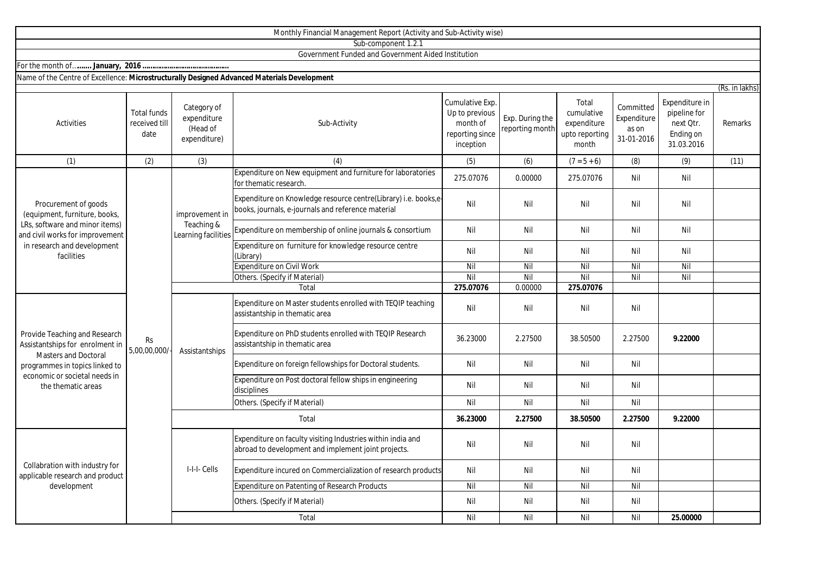|                                                                                                                                                                                          |                                             |                                                        | Monthly Financial Management Report (Activity and Sub-Activity wise)                                                  |                                                                               |                                    |                                                               |                                                 |                                                                        |                |
|------------------------------------------------------------------------------------------------------------------------------------------------------------------------------------------|---------------------------------------------|--------------------------------------------------------|-----------------------------------------------------------------------------------------------------------------------|-------------------------------------------------------------------------------|------------------------------------|---------------------------------------------------------------|-------------------------------------------------|------------------------------------------------------------------------|----------------|
|                                                                                                                                                                                          |                                             |                                                        | Sub-component 1.2.1                                                                                                   |                                                                               |                                    |                                                               |                                                 |                                                                        |                |
|                                                                                                                                                                                          |                                             |                                                        | Government Funded and Government Aided Institution                                                                    |                                                                               |                                    |                                                               |                                                 |                                                                        |                |
|                                                                                                                                                                                          |                                             |                                                        |                                                                                                                       |                                                                               |                                    |                                                               |                                                 |                                                                        |                |
| Name of the Centre of Excellence: Microstructurally Designed Advanced Materials Development                                                                                              |                                             |                                                        |                                                                                                                       |                                                                               |                                    |                                                               |                                                 |                                                                        |                |
|                                                                                                                                                                                          |                                             |                                                        |                                                                                                                       |                                                                               |                                    |                                                               |                                                 |                                                                        | (Rs. in lakhs) |
| <b>Activities</b>                                                                                                                                                                        | <b>Total funds</b><br>received till<br>date | Category of<br>expenditure<br>(Head of<br>expenditure) | Sub-Activity                                                                                                          | Cumulative Exp.<br>Up to previous<br>month of<br>reporting since<br>inception | Exp. During the<br>reporting month | Total<br>cumulative<br>expenditure<br>upto reporting<br>month | Committed<br>Expenditure<br>as on<br>31-01-2016 | Expenditure in<br>pipeline for<br>next Qtr.<br>Ending on<br>31.03.2016 | Remarks        |
| (1)                                                                                                                                                                                      | (2)                                         | (3)                                                    | (4)                                                                                                                   | (5)                                                                           | (6)                                | $(7 = 5 + 6)$                                                 | (8)                                             | (9)                                                                    | (11)           |
| Procurement of goods<br>(equipment, furniture, books,<br>LRs, software and minor items)<br>and civil works for improvement<br>in research and development<br>facilities                  | <b>Rs</b><br>5,00,00,000/                   | improvement in<br>Teaching &<br>Learning facilities    | Expenditure on New equipment and furniture for laboratories<br>for thematic research                                  | 275.07076                                                                     | 0.00000                            | 275.07076                                                     | Nil                                             | Nil                                                                    |                |
|                                                                                                                                                                                          |                                             |                                                        | Expenditure on Knowledge resource centre(Library) i.e. books,e-<br>books, journals, e-journals and reference material | Nil                                                                           | Nil                                | Nil                                                           | Nil                                             | Nil                                                                    |                |
|                                                                                                                                                                                          |                                             |                                                        | Expenditure on membership of online journals & consortium                                                             | Nil                                                                           | Nil                                | Nil                                                           | Nil                                             | Nil                                                                    |                |
|                                                                                                                                                                                          |                                             |                                                        | Expenditure on furniture for knowledge resource centre<br>(Library)                                                   | Nil                                                                           | Nil                                | Nil                                                           | Nil                                             | Nil                                                                    |                |
|                                                                                                                                                                                          |                                             |                                                        | <b>Expenditure on Civil Work</b>                                                                                      | Nil                                                                           | Nil                                | Nil                                                           | Nil                                             | Nil                                                                    |                |
|                                                                                                                                                                                          |                                             |                                                        | Others. (Specify if Material)                                                                                         | Nil                                                                           | Nil                                | Nil                                                           | Nil                                             | Nil                                                                    |                |
|                                                                                                                                                                                          |                                             |                                                        | Total                                                                                                                 | 275.07076                                                                     | 0.00000                            | 275.07076                                                     |                                                 |                                                                        |                |
| Provide Teaching and Research<br>Assistantships for enrolment in<br><b>Masters and Doctoral</b><br>programmes in topics linked to<br>economic or societal needs in<br>the thematic areas |                                             | Assistantships                                         | Expenditure on Master students enrolled with TEQIP teaching<br>assistantship in thematic area                         | Nil                                                                           | Nil                                | Nil                                                           | Nil                                             |                                                                        |                |
|                                                                                                                                                                                          |                                             |                                                        | Expenditure on PhD students enrolled with TEQIP Research<br>assistantship in thematic area                            | 36.23000                                                                      | 2.27500                            | 38.50500                                                      | 2.27500                                         | 9.22000                                                                |                |
|                                                                                                                                                                                          |                                             |                                                        | Expenditure on foreign fellowships for Doctoral students.                                                             | Nil                                                                           | Nil                                | Nil                                                           | Nil                                             |                                                                        |                |
|                                                                                                                                                                                          |                                             |                                                        | Expenditure on Post doctoral fellow ships in engineering<br>disciplines                                               | Nil                                                                           | Nil                                | Nil                                                           | Nil                                             |                                                                        |                |
|                                                                                                                                                                                          |                                             |                                                        | Others. (Specify if Material)                                                                                         | Nil                                                                           | Nil                                | Nil                                                           | Nil                                             |                                                                        |                |
|                                                                                                                                                                                          |                                             | Total                                                  |                                                                                                                       | 36.23000                                                                      | 2.27500                            | 38.50500                                                      | 2.27500                                         | 9.22000                                                                |                |
| Collabration with industry for<br>applicable research and product<br>development                                                                                                         |                                             | I-I-I- Cells                                           | Expenditure on faculty visiting Industries within india and<br>abroad to development and implement joint projects.    | Nil                                                                           | Nil                                | Nil                                                           | Nil                                             |                                                                        |                |
|                                                                                                                                                                                          |                                             |                                                        | Expenditure incured on Commercialization of research products                                                         | Nil                                                                           | Nil                                | Nil                                                           | Nil                                             |                                                                        |                |
|                                                                                                                                                                                          |                                             |                                                        | Expenditure on Patenting of Research Products                                                                         | Nil                                                                           | Nil                                | Nil                                                           | Nil                                             |                                                                        |                |
|                                                                                                                                                                                          |                                             |                                                        | Others. (Specify if Material)                                                                                         | Nil                                                                           | Nil                                | Nil                                                           | Nil                                             |                                                                        |                |

Total

Nil Nil Nil Nil **25.00000**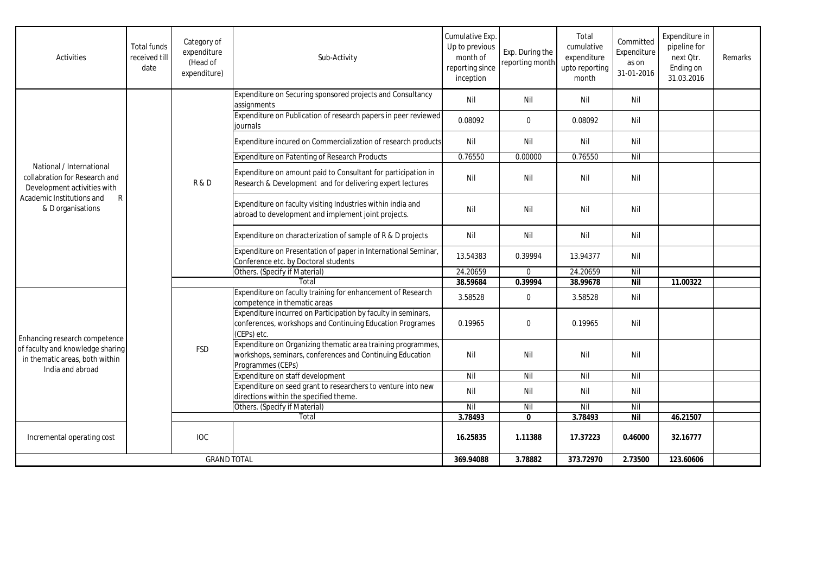| <b>Activities</b>                                                                                                                               | <b>Total funds</b><br>received till<br>date | Category of<br>expenditure<br>(Head of<br>expenditure) | Sub-Activity                                                                                                                                   | Cumulative Exp.<br>Up to previous<br>month of<br>reporting since<br>inception | Exp. During the<br>reporting month | Total<br>cumulative<br>expenditure<br>upto reporting<br>month | Committed<br>Expenditure<br>as on<br>31-01-2016 | Expenditure in<br>pipeline for<br>next Otr.<br>Ending on<br>31.03.2016 | Remarks |
|-------------------------------------------------------------------------------------------------------------------------------------------------|---------------------------------------------|--------------------------------------------------------|------------------------------------------------------------------------------------------------------------------------------------------------|-------------------------------------------------------------------------------|------------------------------------|---------------------------------------------------------------|-------------------------------------------------|------------------------------------------------------------------------|---------|
| National / International<br>collabration for Research and<br>Development activities with<br>Academic Institutions and<br>R<br>& D organisations |                                             | R&D                                                    | Expenditure on Securing sponsored projects and Consultancy<br>assignments                                                                      | Nil                                                                           | Nil                                | Nil                                                           | Nil                                             |                                                                        |         |
|                                                                                                                                                 |                                             |                                                        | Expenditure on Publication of research papers in peer reviewed<br>iournals                                                                     | 0.08092                                                                       | $\mathbf 0$                        | 0.08092                                                       | Nil                                             |                                                                        |         |
|                                                                                                                                                 |                                             |                                                        | Expenditure incured on Commercialization of research products                                                                                  | Nil                                                                           | Nil                                | Nil                                                           | Nil                                             |                                                                        |         |
|                                                                                                                                                 |                                             |                                                        | <b>Expenditure on Patenting of Research Products</b>                                                                                           | 0.76550                                                                       | 0.00000                            | 0.76550                                                       | Nil                                             |                                                                        |         |
|                                                                                                                                                 |                                             |                                                        | Expenditure on amount paid to Consultant for participation in<br>Research & Development and for delivering expert lectures                     | Nil                                                                           | Nil                                | Nil                                                           | Nil                                             |                                                                        |         |
|                                                                                                                                                 |                                             |                                                        | Expenditure on faculty visiting Industries within india and<br>abroad to development and implement joint projects.                             | Nil                                                                           | Nil                                | Nil                                                           | Nil                                             |                                                                        |         |
|                                                                                                                                                 |                                             |                                                        | Expenditure on characterization of sample of R & D projects                                                                                    | Nil                                                                           | Nil                                | Nil                                                           | Nil                                             |                                                                        |         |
|                                                                                                                                                 |                                             |                                                        | Expenditure on Presentation of paper in International Seminar,<br>Conference etc. by Doctoral students                                         | 13.54383                                                                      | 0.39994                            | 13.94377                                                      | Nil                                             |                                                                        |         |
|                                                                                                                                                 |                                             |                                                        | Others. (Specify if Material)                                                                                                                  | 24.20659                                                                      | $\mathbf 0$                        | 24.20659                                                      | Nil                                             |                                                                        |         |
|                                                                                                                                                 |                                             |                                                        | Total                                                                                                                                          | 38.59684                                                                      | 0.39994                            | 38.99678                                                      | <b>Nil</b>                                      | 11.00322                                                               |         |
| Enhancing research competence<br>of faculty and knowledge sharing<br>in thematic areas, both within<br>India and abroad                         |                                             | <b>FSD</b>                                             | Expenditure on faculty training for enhancement of Research<br>competence in thematic areas                                                    | 3.58528                                                                       | $\boldsymbol{0}$                   | 3.58528                                                       | Nil                                             |                                                                        |         |
|                                                                                                                                                 |                                             |                                                        | Expenditure incurred on Participation by faculty in seminars,<br>conferences, workshops and Continuing Education Programes<br>(CEPs) etc.      | 0.19965                                                                       | $\Omega$                           | 0.19965                                                       | Nil                                             |                                                                        |         |
|                                                                                                                                                 |                                             |                                                        | Expenditure on Organizing thematic area training programmes,<br>workshops, seminars, conferences and Continuing Education<br>Programmes (CEPs) | Nil                                                                           | Nil                                | Nil                                                           | Nil                                             |                                                                        |         |
|                                                                                                                                                 |                                             |                                                        | Expenditure on staff development                                                                                                               | Nil                                                                           | Nil                                | $\overline{N}$                                                | Nil                                             |                                                                        |         |
|                                                                                                                                                 |                                             |                                                        | Expenditure on seed grant to researchers to venture into new<br>directions within the specified theme.                                         | Nil                                                                           | Nil                                | Nil                                                           | Nil                                             |                                                                        |         |
|                                                                                                                                                 |                                             |                                                        | Others. (Specify if Material)                                                                                                                  | Nil                                                                           | Nil                                | Nil                                                           | Nil                                             |                                                                        |         |
|                                                                                                                                                 |                                             |                                                        | Total                                                                                                                                          | 3.78493                                                                       | $\mathbf{0}$                       | 3.78493                                                       | Nil                                             | 46.21507                                                               |         |
| Incremental operating cost                                                                                                                      |                                             | <b>IOC</b>                                             |                                                                                                                                                | 16.25835                                                                      | 1.11388                            | 17.37223                                                      | 0.46000                                         | 32.16777                                                               |         |
| <b>GRAND TOTAL</b>                                                                                                                              |                                             |                                                        | 369.94088                                                                                                                                      | 3.78882                                                                       | 373.72970                          | 2.73500                                                       | 123.60606                                       |                                                                        |         |